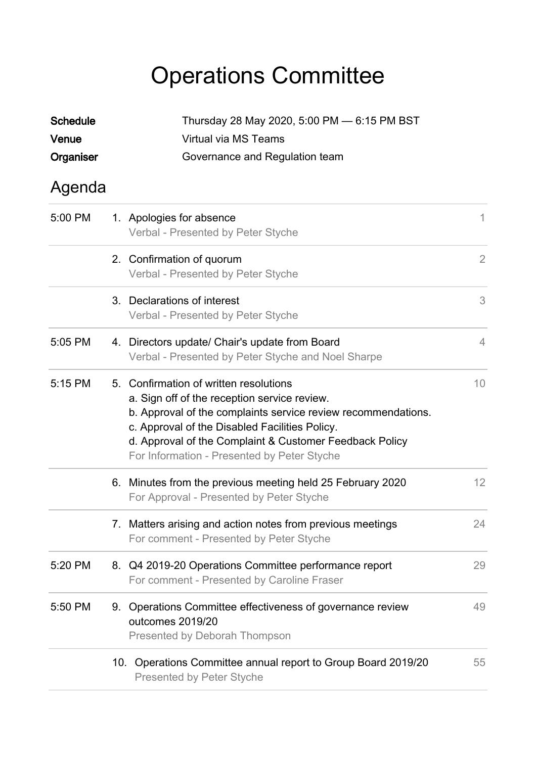## Operations Committee

| <b>Schedule</b><br>Venue |                                | Thursday 28 May 2020, 5:00 PM - 6:15 PM BST<br>Virtual via MS Teams                                                                                                                                                                                                                                                 |                |
|--------------------------|--------------------------------|---------------------------------------------------------------------------------------------------------------------------------------------------------------------------------------------------------------------------------------------------------------------------------------------------------------------|----------------|
| Organiser                | Governance and Regulation team |                                                                                                                                                                                                                                                                                                                     |                |
| Agenda                   |                                |                                                                                                                                                                                                                                                                                                                     |                |
| 5:00 PM                  |                                | 1. Apologies for absence<br>Verbal - Presented by Peter Styche                                                                                                                                                                                                                                                      | 1.             |
|                          |                                | 2. Confirmation of quorum<br>Verbal - Presented by Peter Styche                                                                                                                                                                                                                                                     | $\overline{2}$ |
|                          |                                | 3. Declarations of interest<br>Verbal - Presented by Peter Styche                                                                                                                                                                                                                                                   | 3              |
| 5:05 PM                  |                                | 4. Directors update/ Chair's update from Board<br>Verbal - Presented by Peter Styche and Noel Sharpe                                                                                                                                                                                                                | $\overline{4}$ |
| 5:15 PM                  |                                | 5. Confirmation of written resolutions<br>a. Sign off of the reception service review.<br>b. Approval of the complaints service review recommendations.<br>c. Approval of the Disabled Facilities Policy.<br>d. Approval of the Complaint & Customer Feedback Policy<br>For Information - Presented by Peter Styche | 10             |
|                          |                                | 6. Minutes from the previous meeting held 25 February 2020<br>For Approval - Presented by Peter Styche                                                                                                                                                                                                              | 12             |
|                          |                                | 7. Matters arising and action notes from previous meetings<br>For comment - Presented by Peter Styche                                                                                                                                                                                                               | 24             |
| 5:20 PM                  |                                | 8. Q4 2019-20 Operations Committee performance report<br>For comment - Presented by Caroline Fraser                                                                                                                                                                                                                 | 29             |
| 5:50 PM                  | 9.                             | Operations Committee effectiveness of governance review<br>outcomes 2019/20<br>Presented by Deborah Thompson                                                                                                                                                                                                        | 49             |
|                          | 10.                            | Operations Committee annual report to Group Board 2019/20<br><b>Presented by Peter Styche</b>                                                                                                                                                                                                                       | 55             |